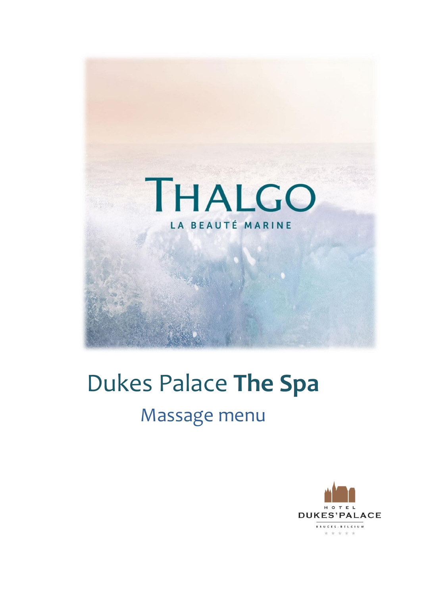

# Dukes Palace **The Spa** Massage menu

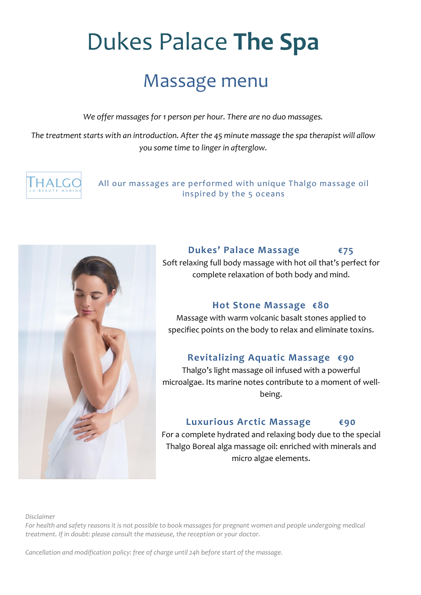# Dukes Palace **The Spa**

# Massage menu

*We offer massages for 1 person per hour. There are no duo massages.* 

*The treatment starts with an introduction. After the 45 minute massage the spa therapist will allow you some time to linger in afterglow.* 



All our massages are performed with unique Thalgo massage oil inspired by the 5 oceans



## **Dukes' Palace Massage €75**

Soft relaxing full body massage with hot oil that's perfect for complete relaxation of both body and mind.

## **Hot Stone Massage €80**

Massage with warm volcanic basalt stones applied to specifiec points on the body to relax and eliminate toxins.

## **Revitalizing Aquatic Massage €90**

Thalgo's light massage oil infused with a powerful microalgae. Its marine notes contribute to a moment of wellbeing.

## **Luxurious Arctic Massage €90**

For a complete hydrated and relaxing body due to the special Thalgo Boreal alga massage oil: enriched with minerals and micro algae elements.

*Disclaimer*

*For health and safety reasons it is not possible to book massages for pregnant women and people undergoing medical treatment. If in doubt: please consult the masseuse, the reception or your doctor.* 

*Cancellation and modification policy: free of charge until 24h before start of the massage.*